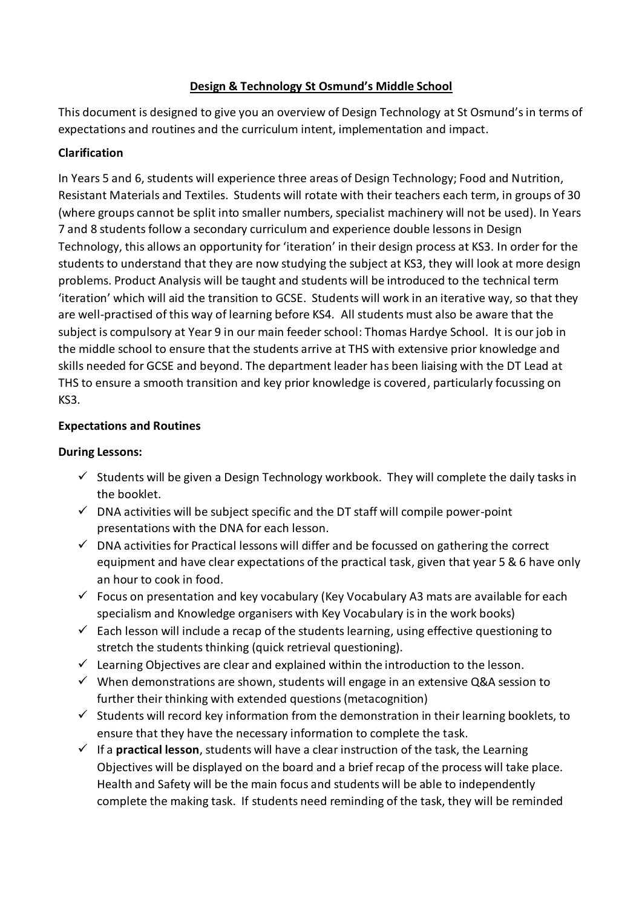# **Design & Technology St Osmund's Middle School**

This document is designed to give you an overview of Design Technology at St Osmund's in terms of expectations and routines and the curriculum intent, implementation and impact.

# **Clarification**

In Years 5 and 6, students will experience three areas of Design Technology; Food and Nutrition, Resistant Materials and Textiles. Students will rotate with their teachers each term, in groups of 30 (where groups cannot be split into smaller numbers, specialist machinery will not be used). In Years 7 and 8 students follow a secondary curriculum and experience double lessons in Design Technology, this allows an opportunity for 'iteration' in their design process at KS3. In order for the students to understand that they are now studying the subject at KS3, they will look at more design problems. Product Analysis will be taught and students will be introduced to the technical term 'iteration' which will aid the transition to GCSE. Students will work in an iterative way, so that they are well-practised of this way of learning before KS4. All students must also be aware that the subject is compulsory at Year 9 in our main feeder school: Thomas Hardye School. It is our job in the middle school to ensure that the students arrive at THS with extensive prior knowledge and skills needed for GCSE and beyond. The department leader has been liaising with the DT Lead at THS to ensure a smooth transition and key prior knowledge is covered, particularly focussing on KS3.

# **Expectations and Routines**

# **During Lessons:**

- $\checkmark$  Students will be given a Design Technology workbook. They will complete the daily tasks in the booklet.
- $\checkmark$  DNA activities will be subject specific and the DT staff will compile power-point presentations with the DNA for each lesson.
- $\checkmark$  DNA activities for Practical lessons will differ and be focussed on gathering the correct equipment and have clear expectations of the practical task, given that year 5 & 6 have only an hour to cook in food.
- $\checkmark$  Focus on presentation and key vocabulary (Key Vocabulary A3 mats are available for each specialism and Knowledge organisers with Key Vocabulary is in the work books)
- $\checkmark$  Each lesson will include a recap of the students learning, using effective questioning to stretch the students thinking (quick retrieval questioning).
- $\checkmark$  Learning Objectives are clear and explained within the introduction to the lesson.
- $\checkmark$  When demonstrations are shown, students will engage in an extensive Q&A session to further their thinking with extended questions (metacognition)
- $\checkmark$  Students will record key information from the demonstration in their learning booklets, to ensure that they have the necessary information to complete the task.
- $\checkmark$  If a **practical lesson**, students will have a clear instruction of the task, the Learning Objectives will be displayed on the board and a brief recap of the process will take place. Health and Safety will be the main focus and students will be able to independently complete the making task. If students need reminding of the task, they will be reminded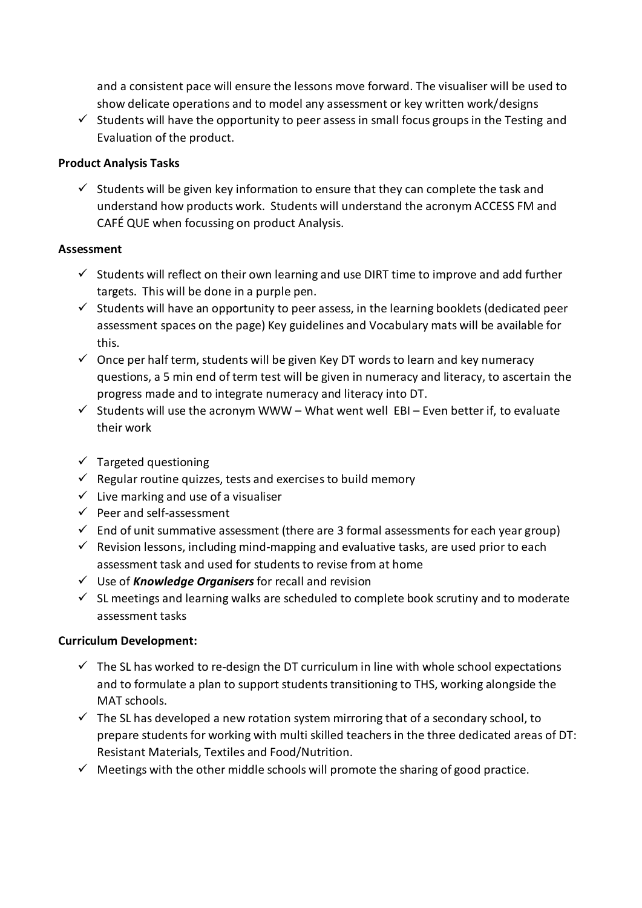and a consistent pace will ensure the lessons move forward. The visualiser will be used to show delicate operations and to model any assessment or key written work/designs

 $\checkmark$  Students will have the opportunity to peer assess in small focus groups in the Testing and Evaluation of the product.

### **Product Analysis Tasks**

 $\checkmark$  Students will be given key information to ensure that they can complete the task and understand how products work. Students will understand the acronym ACCESS FM and CAFÉ QUE when focussing on product Analysis.

#### **Assessment**

- $\checkmark$  Students will reflect on their own learning and use DIRT time to improve and add further targets. This will be done in a purple pen.
- $\checkmark$  Students will have an opportunity to peer assess, in the learning booklets (dedicated peer assessment spaces on the page) Key guidelines and Vocabulary mats will be available for this.
- $\checkmark$  Once per half term, students will be given Key DT words to learn and key numeracy questions, a 5 min end of term test will be given in numeracy and literacy, to ascertain the progress made and to integrate numeracy and literacy into DT.
- $\checkmark$  Students will use the acronym WWW What went well EBI Even better if, to evaluate their work
- $\checkmark$  Targeted questioning
- $\checkmark$  Regular routine quizzes, tests and exercises to build memory
- $\checkmark$  Live marking and use of a visualiser
- $\checkmark$  Peer and self-assessment
- $\checkmark$  End of unit summative assessment (there are 3 formal assessments for each year group)
- $\checkmark$  Revision lessons, including mind-mapping and evaluative tasks, are used prior to each assessment task and used for students to revise from at home
- Use of *Knowledge Organisers* for recall and revision
- $\checkmark$  SL meetings and learning walks are scheduled to complete book scrutiny and to moderate assessment tasks

# **Curriculum Development:**

- $\checkmark$  The SL has worked to re-design the DT curriculum in line with whole school expectations and to formulate a plan to support students transitioning to THS, working alongside the MAT schools.
- $\checkmark$  The SL has developed a new rotation system mirroring that of a secondary school, to prepare students for working with multi skilled teachers in the three dedicated areas of DT: Resistant Materials, Textiles and Food/Nutrition.
- $\checkmark$  Meetings with the other middle schools will promote the sharing of good practice.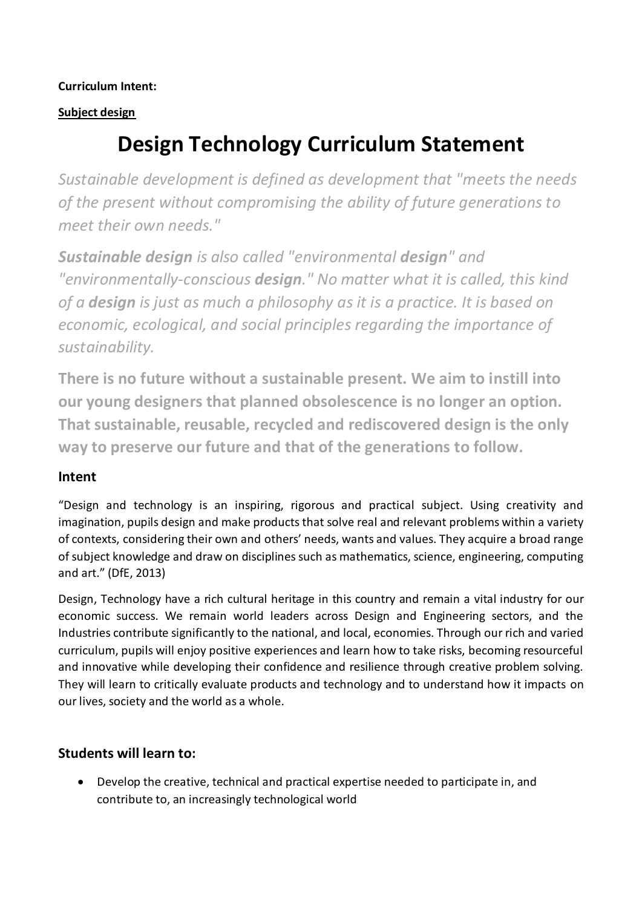# **Curriculum Intent:**

# **Subject design**

# **Design Technology Curriculum Statement**

*Sustainable development is defined as development that "meets the needs of the present without compromising the ability of future generations to meet their own needs."*

*Sustainable design is also called "environmental design" and "environmentally-conscious design." No matter what it is called, this kind of a design is just as much a philosophy as it is a practice. It is based on economic, ecological, and social principles regarding the importance of sustainability.*

**There is no future without a sustainable present. We aim to instill into our young designers that planned obsolescence is no longer an option. That sustainable, reusable, recycled and rediscovered design is the only way to preserve our future and that of the generations to follow.**

# **Intent**

"Design and technology is an inspiring, rigorous and practical subject. Using creativity and imagination, pupils design and make products that solve real and relevant problems within a variety of contexts, considering their own and others' needs, wants and values. They acquire a broad range of subject knowledge and draw on disciplines such as mathematics, science, engineering, computing and art." (DfE, 2013)

Design, Technology have a rich cultural heritage in this country and remain a vital industry for our economic success. We remain world leaders across Design and Engineering sectors, and the Industries contribute significantly to the national, and local, economies. Through our rich and varied curriculum, pupils will enjoy positive experiences and learn how to take risks, becoming resourceful and innovative while developing their confidence and resilience through creative problem solving. They will learn to critically evaluate products and technology and to understand how it impacts on our lives, society and the world as a whole.

# **Students will learn to:**

 Develop the creative, technical and practical expertise needed to participate in, and contribute to, an increasingly technological world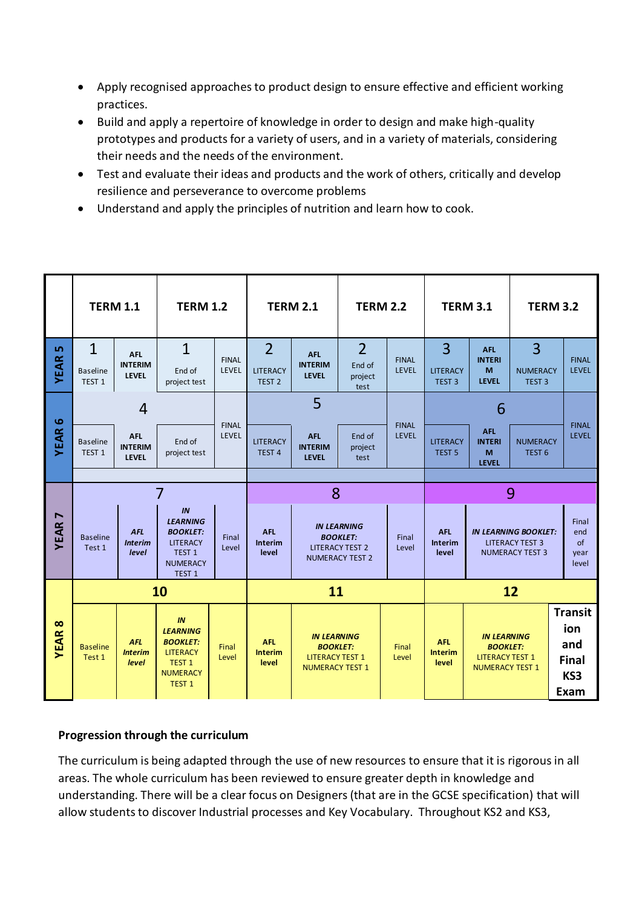- Apply recognised approaches to product design to ensure effective and efficient working practices.
- Build and apply a repertoire of knowledge in order to design and make high-quality prototypes and products for a variety of users, and in a variety of materials, considering their needs and the needs of the environment.
- Test and evaluate their ideas and products and the work of others, critically and develop resilience and perseverance to overcome problems
- Understand and apply the principles of nutrition and learn how to cook.

|                         | <b>TERM 1.1</b>                      |                                              | <b>TERM 1.2</b>                                                                                                          |                       | <b>TERM 2.1</b>                       |                                                                                           | <b>TERM 2.2</b>           |                              | <b>TERM 3.1</b>                                                                                                          |                                                                                           | <b>TERM 3.2</b>                      |                                                             |
|-------------------------|--------------------------------------|----------------------------------------------|--------------------------------------------------------------------------------------------------------------------------|-----------------------|---------------------------------------|-------------------------------------------------------------------------------------------|---------------------------|------------------------------|--------------------------------------------------------------------------------------------------------------------------|-------------------------------------------------------------------------------------------|--------------------------------------|-------------------------------------------------------------|
| 5                       | $\mathbf{1}$                         | <b>AFL</b><br><b>INTERIM</b>                 | $\overline{1}$                                                                                                           | <b>FINAL</b>          | $\overline{2}$                        | <b>AFL</b><br><b>INTERIM</b>                                                              | $\overline{2}$<br>End of  | <b>FINAL</b>                 | 3                                                                                                                        | <b>AFL</b><br><b>INTERI</b>                                                               | 3                                    | <b>FINAL</b>                                                |
| <b>YEAR</b>             | <b>Baseline</b><br>TEST <sub>1</sub> | LEVEL                                        | End of<br>project test                                                                                                   | LEVEL                 | LITERACY<br>TEST <sub>2</sub>         | <b>LEVEL</b>                                                                              | project<br>test           | LEVEL                        | <b>LITERACY</b><br>TEST <sub>3</sub>                                                                                     | M<br><b>LEVEL</b>                                                                         | <b>NUMERACY</b><br>TEST <sub>3</sub> | LEVEL                                                       |
|                         | 4                                    |                                              |                                                                                                                          |                       | 5                                     |                                                                                           |                           |                              | 6                                                                                                                        |                                                                                           |                                      |                                                             |
| <b>YEAR6</b>            | <b>Baseline</b><br>TEST <sub>1</sub> | <b>AFL</b><br><b>INTERIM</b><br><b>LEVEL</b> | End of<br>project test                                                                                                   | <b>FINAL</b><br>LEVEL | <b>LITERACY</b><br>TEST <sub>4</sub>  | <b>AFL</b><br><b>INTERIM</b><br><b>LEVEL</b>                                              | End of<br>project<br>test | <b>FINAL</b><br><b>LEVEL</b> | <b>LITERACY</b><br><b>TEST 5</b>                                                                                         | <b>AFL</b><br><b>INTERI</b><br>M<br><b>LEVEL</b>                                          | <b>NUMERACY</b><br>TEST <sub>6</sub> | <b>FINAL</b><br><b>LEVEL</b>                                |
|                         | 7                                    |                                              |                                                                                                                          |                       | 8                                     |                                                                                           |                           |                              | 9                                                                                                                        |                                                                                           |                                      |                                                             |
| N<br><b>YEAR</b>        | <b>Baseline</b><br>Test 1            | <b>AFL</b><br><b>Interim</b><br>level        | IN<br><b>LEARNING</b><br><b>BOOKLET:</b><br><b>LITERACY</b><br>TEST <sub>1</sub><br><b>NUMERACY</b><br><b>TEST 1</b>     | Final<br>Level        | <b>AFL</b><br>Interim<br>level        | <b>IN LEARNING</b><br><b>BOOKLET:</b><br><b>LITERACY TEST 2</b><br><b>NUMERACY TEST 2</b> |                           | Final<br>Level               | <b>AFL</b><br><b>IN LEARNING BOOKLET:</b><br><b>Interim</b><br><b>LITERACY TEST 3</b><br><b>NUMERACY TEST 3</b><br>level |                                                                                           | Final<br>end<br>of<br>year<br>level  |                                                             |
| $\infty$<br><b>YEAR</b> | 10                                   |                                              |                                                                                                                          |                       | 11                                    |                                                                                           |                           |                              | 12                                                                                                                       |                                                                                           |                                      |                                                             |
|                         | <b>Baseline</b><br>Test 1            | <b>AFL</b><br><b>Interim</b><br>level        | IN<br><b>LEARNING</b><br><b>BOOKLET:</b><br><b>LITERACY</b><br>TEST <sub>1</sub><br><b>NUMERACY</b><br>TEST <sub>1</sub> | Final<br>Level        | <b>AFL</b><br><b>Interim</b><br>level | <b>IN LEARNING</b><br><b>BOOKLET:</b><br><b>LITERACY TEST 1</b><br><b>NUMERACY TEST 1</b> |                           | Final<br>Level               | <b>AFL</b><br><b>Interim</b><br>level                                                                                    | <b>IN LEARNING</b><br><b>BOOKLET:</b><br><b>LITERACY TEST 1</b><br><b>NUMERACY TEST 1</b> |                                      | <b>Transit</b><br>ion<br>and<br><b>Final</b><br>KS3<br>Exam |

# **Progression through the curriculum**

The curriculum is being adapted through the use of new resources to ensure that it is rigorous in all areas. The whole curriculum has been reviewed to ensure greater depth in knowledge and understanding. There will be a clear focus on Designers (that are in the GCSE specification) that will allow students to discover Industrial processes and Key Vocabulary. Throughout KS2 and KS3,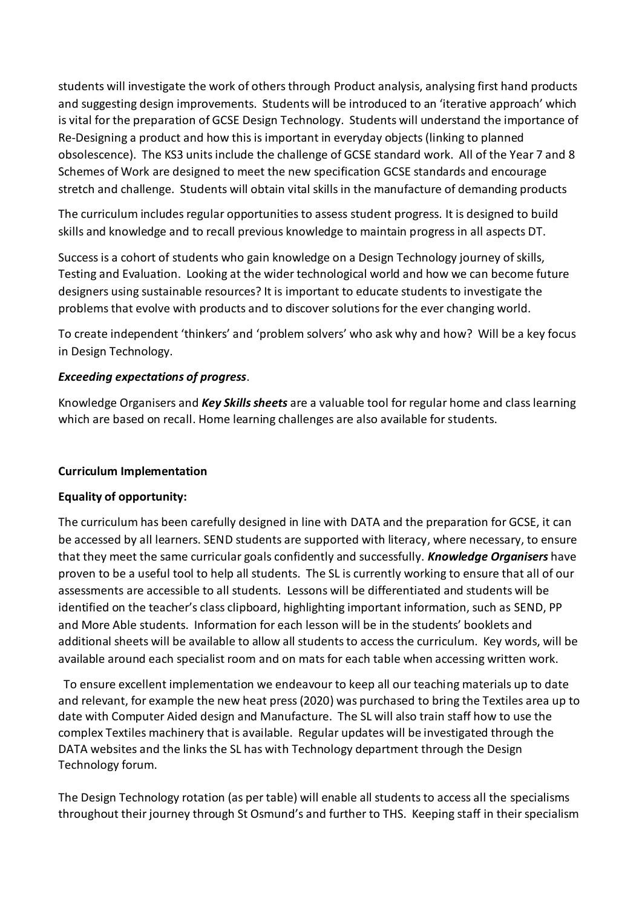students will investigate the work of others through Product analysis, analysing first hand products and suggesting design improvements. Students will be introduced to an 'iterative approach' which is vital for the preparation of GCSE Design Technology. Students will understand the importance of Re-Designing a product and how this is important in everyday objects (linking to planned obsolescence). The KS3 units include the challenge of GCSE standard work. All of the Year 7 and 8 Schemes of Work are designed to meet the new specification GCSE standards and encourage stretch and challenge. Students will obtain vital skills in the manufacture of demanding products

The curriculum includes regular opportunities to assess student progress. It is designed to build skills and knowledge and to recall previous knowledge to maintain progress in all aspects DT.

Success is a cohort of students who gain knowledge on a Design Technology journey of skills, Testing and Evaluation. Looking at the wider technological world and how we can become future designers using sustainable resources? It is important to educate students to investigate the problems that evolve with products and to discover solutions for the ever changing world.

To create independent 'thinkers' and 'problem solvers' who ask why and how? Will be a key focus in Design Technology.

# *Exceeding expectations of progress*.

Knowledge Organisers and *Key Skills sheets* are a valuable tool for regular home and class learning which are based on recall. Home learning challenges are also available for students.

#### **Curriculum Implementation**

#### **Equality of opportunity:**

The curriculum has been carefully designed in line with DATA and the preparation for GCSE, it can be accessed by all learners. SEND students are supported with literacy, where necessary, to ensure that they meet the same curricular goals confidently and successfully. *Knowledge Organisers* have proven to be a useful tool to help all students. The SL is currently working to ensure that all of our assessments are accessible to all students. Lessons will be differentiated and students will be identified on the teacher's class clipboard, highlighting important information, such as SEND, PP and More Able students. Information for each lesson will be in the students' booklets and additional sheets will be available to allow all students to access the curriculum. Key words, will be available around each specialist room and on mats for each table when accessing written work.

 To ensure excellent implementation we endeavour to keep all our teaching materials up to date and relevant, for example the new heat press (2020) was purchased to bring the Textiles area up to date with Computer Aided design and Manufacture. The SL will also train staff how to use the complex Textiles machinery that is available. Regular updates will be investigated through the DATA websites and the links the SL has with Technology department through the Design Technology forum.

The Design Technology rotation (as per table) will enable all students to access all the specialisms throughout their journey through St Osmund's and further to THS. Keeping staff in their specialism